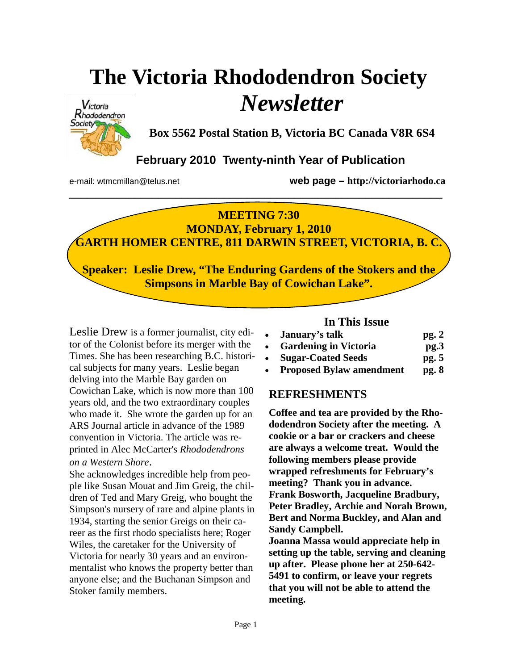# **The Victoria Rhododendron Society**  *Newsletter*



**Box 5562 Postal Station B, Victoria BC Canada V8R 6S4** 

## **February 2010 Twenty-ninth Year of Publication**

e-mail: wtmcmillan@telus.net **web page – http://victoriarhodo.ca**

## **MEETING 7:30**

**\_\_\_\_\_\_\_\_\_\_\_\_\_\_\_\_\_\_\_\_\_\_\_\_\_\_\_\_\_\_\_\_\_\_\_\_\_\_\_\_\_\_\_\_\_\_\_\_\_\_\_\_\_\_\_\_\_\_\_\_\_\_\_** 

**MONDAY, February 1, 2010 GARTH HOMER CENTRE, 811 DARWIN STREET, VICTORIA, B. C.** 

**Speaker: Leslie Drew, "The Enduring Gardens of the Stokers and the Simpsons in Marble Bay of Cowichan Lake".** 

**REFRESHMENTS**  Cowichan Lake, which is now more than 100 **Coffee and tea are provided by the Rhodo-**who made it. She wrote the garden up for an ARS Journal article in advance of the 1989 **convention in Victoria. The article was re**wonvention in victoria. The article was re printed in Alec McCarter's *Rhododendrons* Leslie Drew is a former journalist, city editor of the Colonist before its merger with the Times. She has been researching B.C. historical subjects for many years. Leslie began delving into the Marble Bay garden on years old, and the two extraordinary couples *on a Western Shore*.

*mawesiern snore.*<br>81 and 1 and 1 and 1 and 2 ple like Susan Mouat and Jim Greig, the children of Ted and Mary Greig, who bought the **Simpson's nursery of rare and alpine plants in** 1934, starting the senior Greigs on their ca-Wiles, the caretaker for the University of Victoria for nearly 30 years and an environmentalist who knows the property better than She acknowledges incredible help from peoreer as the first rhodo specialists here; Roger anyone else; and the Buchanan Simpson and Stoker family members.

## **In This Issue**

- **January's talk pg. 2**
- **Gardening in Victoria pg.3**
- **Sugar-Coated Seeds pg. 5**
- **Proposed Bylaw amendment pg. 8**

## **REFRESHMENTS**

**Coffee and tea are provided by the Rhododendron Society after the meeting. A cookie or a bar or crackers and cheese are always a welcome treat. Would the following members please provide wrapped refreshments for February's meeting? Thank you in advance. Frank Bosworth, Jacqueline Bradbury, Peter Bradley, Archie and Norah Brown, Bert and Norma Buckley, and Alan and Sandy Campbell. Joanna Massa would appreciate help in** 

**setting up the table, serving and cleaning up after. Please phone her at 250-642- 5491 to confirm, or leave your regrets that you will not be able to attend the meeting.**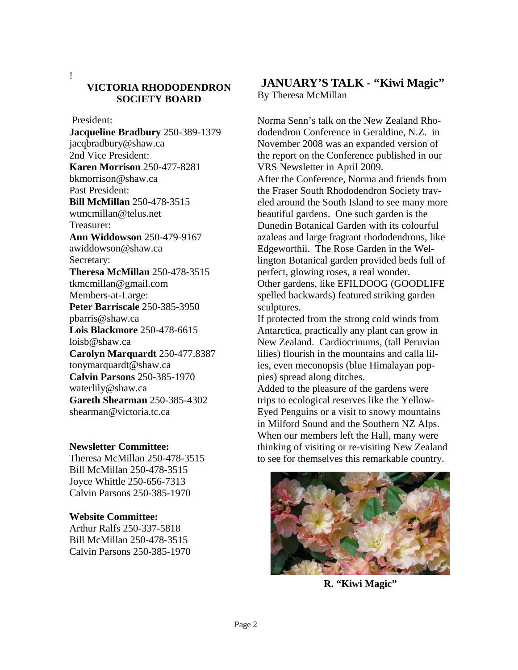!

## **VICTORIA RHODODENDRON SOCIETY BOARD**

President:

**Jacqueline Bradbury** 250-389-1379 jacqbradbury@shaw.ca 2nd Vice President: **Karen Morrison** 250-477-8281 bkmorrison@shaw.ca Past President: **Bill McMillan** 250-478-3515 wtmcmillan@telus.net Treasurer: **Ann Widdowson** 250-479-9167 awiddowson@shaw.ca Secretary: **Theresa McMillan** 250-478-3515 tkmcmillan@gmail.com Members-at-Large: **Peter Barriscale** 250-385-3950 pbarris@shaw.ca **Lois Blackmore** 250-478-6615 loisb@shaw.ca **Carolyn Marquardt** 250-477.8387 tonymarquardt@shaw.ca **Calvin Parsons** 250-385-1970 waterlily@shaw.ca **Gareth Shearman** 250-385-4302 shearman@victoria.tc.ca

#### **Newsletter Committee:**

Theresa McMillan 250-478-3515 Bill McMillan 250-478-3515 Joyce Whittle 250-656-7313 Calvin Parsons 250-385-1970

#### **Website Committee:**

Arthur Ralfs 250-337-5818 Bill McMillan 250-478-3515 Calvin Parsons 250-385-1970

## **JANUARY'S TALK - "Kiwi Magic"**  By Theresa McMillan

Norma Senn's talk on the New Zealand Rhododendron Conference in Geraldine, N.Z. in November 2008 was an expanded version of the report on the Conference published in our VRS Newsletter in April 2009. After the Conference, Norma and friends from the Fraser South Rhododendron Society traveled around the South Island to see many more beautiful gardens. One such garden is the Dunedin Botanical Garden with its colourful azaleas and large fragrant rhododendrons, like Edgeworthii. The Rose Garden in the Wellington Botanical garden provided beds full of perfect, glowing roses, a real wonder. Other gardens, like EFILDOOG (GOODLIFE spelled backwards) featured striking garden sculptures.

If protected from the strong cold winds from Antarctica, practically any plant can grow in New Zealand. Cardiocrinums, (tall Peruvian lilies) flourish in the mountains and calla lilies, even meconopsis (blue Himalayan poppies) spread along ditches.

Added to the pleasure of the gardens were trips to ecological reserves like the Yellow-Eyed Penguins or a visit to snowy mountains in Milford Sound and the Southern NZ Alps. When our members left the Hall, many were thinking of visiting or re-visiting New Zealand to see for themselves this remarkable country.



**R. "Kiwi Magic"**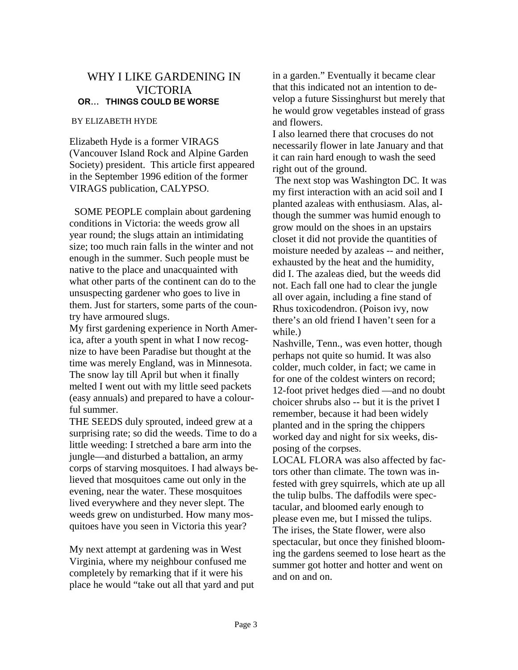#### WHY I LIKE GARDENING IN VICTORIA **OR… THINGS COULD BE WORSE**

#### BY ELIZABETH HYDE

Elizabeth Hyde is a former VIRAGS (Vancouver Island Rock and Alpine Garden Society) president. This article first appeared in the September 1996 edition of the former VIRAGS publication, CALYPSO.

 SOME PEOPLE complain about gardening conditions in Victoria: the weeds grow all year round; the slugs attain an intimidating size; too much rain falls in the winter and not enough in the summer. Such people must be native to the place and unacquainted with what other parts of the continent can do to the unsuspecting gardener who goes to live in them. Just for starters, some parts of the country have armoured slugs.

My first gardening experience in North America, after a youth spent in what I now recognize to have been Paradise but thought at the time was merely England, was in Minnesota. The snow lay till April but when it finally melted I went out with my little seed packets (easy annuals) and prepared to have a colourful summer.

THE SEEDS duly sprouted, indeed grew at a surprising rate; so did the weeds. Time to do a little weeding: I stretched a bare arm into the jungle—and disturbed a battalion, an army corps of starving mosquitoes. I had always believed that mosquitoes came out only in the evening, near the water. These mosquitoes lived everywhere and they never slept. The weeds grew on undisturbed. How many mosquitoes have you seen in Victoria this year?

My next attempt at gardening was in West Virginia, where my neighbour confused me completely by remarking that if it were his place he would "take out all that yard and put in a garden." Eventually it became clear that this indicated not an intention to develop a future Sissinghurst but merely that he would grow vegetables instead of grass and flowers.

I also learned there that crocuses do not necessarily flower in late January and that it can rain hard enough to wash the seed right out of the ground.

 The next stop was Washington DC. It was my first interaction with an acid soil and I planted azaleas with enthusiasm. Alas, although the summer was humid enough to grow mould on the shoes in an upstairs closet it did not provide the quantities of moisture needed by azaleas -- and neither, exhausted by the heat and the humidity, did I. The azaleas died, but the weeds did not. Each fall one had to clear the jungle all over again, including a fine stand of Rhus toxicodendron. (Poison ivy, now there's an old friend I haven't seen for a while.)

Nashville, Tenn., was even hotter, though perhaps not quite so humid. It was also colder, much colder, in fact; we came in for one of the coldest winters on record; 12-foot privet hedges died —and no doubt choicer shrubs also -- but it is the privet I remember, because it had been widely planted and in the spring the chippers worked day and night for six weeks, disposing of the corpses.

LOCAL FLORA was also affected by factors other than climate. The town was infested with grey squirrels, which ate up all the tulip bulbs. The daffodils were spectacular, and bloomed early enough to please even me, but I missed the tulips. The irises, the State flower, were also spectacular, but once they finished blooming the gardens seemed to lose heart as the summer got hotter and hotter and went on and on and on.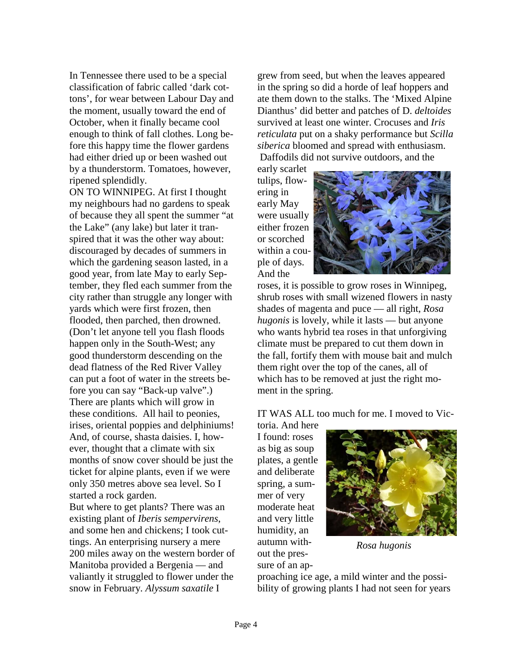In Tennessee there used to be a special classification of fabric called 'dark cottons', for wear between Labour Day and the moment, usually toward the end of October, when it finally became cool enough to think of fall clothes. Long before this happy time the flower gardens had either dried up or been washed out by a thunderstorm. Tomatoes, however, ripened splendidly.

ON TO WINNIPEG. At first I thought my neighbours had no gardens to speak of because they all spent the summer "at the Lake" (any lake) but later it transpired that it was the other way about: discouraged by decades of summers in which the gardening season lasted, in a good year, from late May to early September, they fled each summer from the city rather than struggle any longer with yards which were first frozen, then flooded, then parched, then drowned. (Don't let anyone tell you flash floods happen only in the South-West; any good thunderstorm descending on the dead flatness of the Red River Valley can put a foot of water in the streets before you can say "Back-up valve".) There are plants which will grow in these conditions. All hail to peonies, irises, oriental poppies and delphiniums! And, of course, shasta daisies. I, however, thought that a climate with six months of snow cover should be just the ticket for alpine plants, even if we were only 350 metres above sea level. So I started a rock garden.

But where to get plants? There was an existing plant of *Iberis sempervirens*, and some hen and chickens; I took cuttings. An enterprising nursery a mere 200 miles away on the western border of Manitoba provided a Bergenia — and valiantly it struggled to flower under the snow in February. *Alyssum saxatile* I

grew from seed, but when the leaves appeared in the spring so did a horde of leaf hoppers and ate them down to the stalks. The 'Mixed Alpine Dianthus' did better and patches of D. *deltoides* survived at least one winter. Crocuses and *Iris reticulata* put on a shaky performance but *Scilla siberica* bloomed and spread with enthusiasm. Daffodils did not survive outdoors, and the

early scarlet tulips, flowering in early May were usually either frozen or scorched within a couple of days. And the



roses, it is possible to grow roses in Winnipeg, shrub roses with small wizened flowers in nasty shades of magenta and puce — all right, *Rosa hugonis* is lovely, while it lasts — but anyone who wants hybrid tea roses in that unforgiving climate must be prepared to cut them down in the fall, fortify them with mouse bait and mulch them right over the top of the canes, all of which has to be removed at just the right moment in the spring.

IT WAS ALL too much for me. I moved to Vic-

toria. And here I found: roses as big as soup plates, a gentle and deliberate spring, a summer of very moderate heat and very little humidity, an autumn without the pressure of an ap-



*Rosa hugonis* 

proaching ice age, a mild winter and the possibility of growing plants I had not seen for years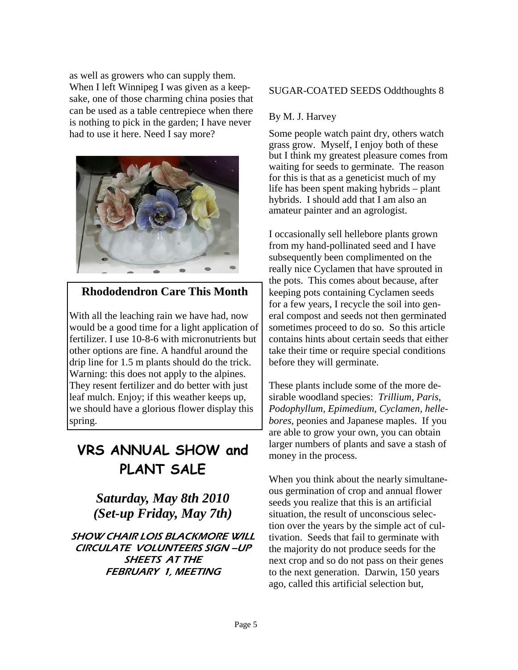as well as growers who can supply them. When I left Winnipeg I was given as a keepsake, one of those charming china posies that can be used as a table centrepiece when there is nothing to pick in the garden; I have never had to use it here. Need I say more?



## **Rhododendron Care This Month**

With all the leaching rain we have had, now would be a good time for a light application of fertilizer. I use 10-8-6 with micronutrients but other options are fine. A handful around the drip line for 1.5 m plants should do the trick. Warning: this does not apply to the alpines. They resent fertilizer and do better with just leaf mulch. Enjoy; if this weather keeps up, we should have a glorious flower display this spring.

## **VRS ANNUAL SHOW and PLANT SALE**

*Saturday, May 8th 2010 (Set-up Friday, May 7th)* 

SHOW CHAIR LOIS BLACKMORE WILL CIRCULATE VOLUNTEERS SIGN –UP SHEETS AT THE FEBRUARY 1, MEETING

#### SUGAR-COATED SEEDS Oddthoughts 8

#### By M. J. Harvey

Some people watch paint dry, others watch grass grow. Myself, I enjoy both of these but I think my greatest pleasure comes from waiting for seeds to germinate. The reason for this is that as a geneticist much of my life has been spent making hybrids – plant hybrids. I should add that I am also an amateur painter and an agrologist.

I occasionally sell hellebore plants grown from my hand-pollinated seed and I have subsequently been complimented on the really nice Cyclamen that have sprouted in the pots. This comes about because, after keeping pots containing Cyclamen seeds for a few years, I recycle the soil into general compost and seeds not then germinated sometimes proceed to do so. So this article contains hints about certain seeds that either take their time or require special conditions before they will germinate.

These plants include some of the more desirable woodland species: *Trillium, Paris*, *Podophyllum, Epimedium, Cyclamen, hellebores*, peonies and Japanese maples. If you are able to grow your own, you can obtain larger numbers of plants and save a stash of money in the process.

When you think about the nearly simultaneous germination of crop and annual flower seeds you realize that this is an artificial situation, the result of unconscious selection over the years by the simple act of cultivation. Seeds that fail to germinate with the majority do not produce seeds for the next crop and so do not pass on their genes to the next generation. Darwin, 150 years ago, called this artificial selection but,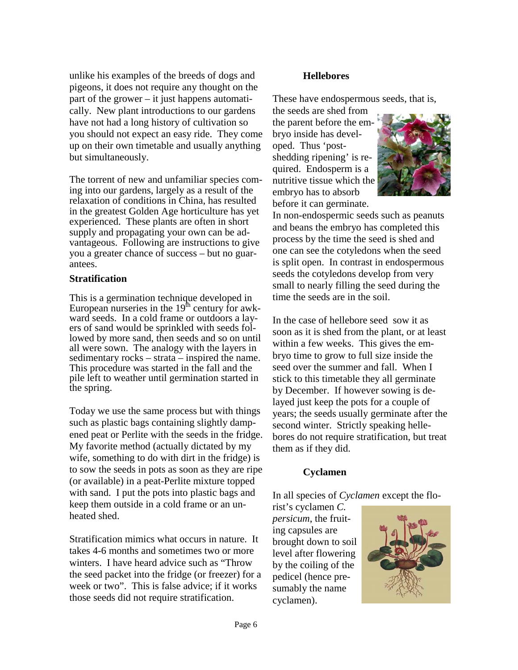unlike his examples of the breeds of dogs and pigeons, it does not require any thought on the part of the grower – it just happens automatically. New plant introductions to our gardens have not had a long history of cultivation so you should not expect an easy ride. They come up on their own timetable and usually anything but simultaneously.

The torrent of new and unfamiliar species coming into our gardens, largely as a result of the relaxation of conditions in China, has resulted in the greatest Golden Age horticulture has yet experienced. These plants are often in short supply and propagating your own can be advantageous. Following are instructions to give you a greater chance of success – but no guarantees.

#### **Stratification**

This is a germination technique developed in European nurseries in the  $19<sup>th</sup>$  century for awkward seeds. In a cold frame or outdoors a layers of sand would be sprinkled with seeds followed by more sand, then seeds and so on until all were sown. The analogy with the layers in sedimentary rocks – strata – inspired the name. This procedure was started in the fall and the pile left to weather until germination started in the spring.

Today we use the same process but with things such as plastic bags containing slightly dampened peat or Perlite with the seeds in the fridge. My favorite method (actually dictated by my wife, something to do with dirt in the fridge) is to sow the seeds in pots as soon as they are ripe (or available) in a peat-Perlite mixture topped with sand. I put the pots into plastic bags and keep them outside in a cold frame or an unheated shed.

Stratification mimics what occurs in nature. It takes 4-6 months and sometimes two or more winters. I have heard advice such as "Throw the seed packet into the fridge (or freezer) for a week or two". This is false advice; if it works those seeds did not require stratification.

#### **Hellebores**

These have endospermous seeds, that is,

the seeds are shed from the parent before the embryo inside has developed. Thus 'postshedding ripening' is required. Endosperm is a nutritive tissue which the embryo has to absorb before it can germinate.



In non-endospermic seeds such as peanuts and beans the embryo has completed this process by the time the seed is shed and one can see the cotyledons when the seed is split open. In contrast in endospermous seeds the cotyledons develop from very small to nearly filling the seed during the time the seeds are in the soil.

In the case of hellebore seed sow it as soon as it is shed from the plant, or at least within a few weeks. This gives the embryo time to grow to full size inside the seed over the summer and fall. When I stick to this timetable they all germinate by December. If however sowing is delayed just keep the pots for a couple of years; the seeds usually germinate after the second winter. Strictly speaking hellebores do not require stratification, but treat them as if they did.

#### **Cyclamen**

In all species of *Cyclamen* except the flo-

rist's cyclamen *C. persicum*, the fruiting capsules are brought down to soil level after flowering by the coiling of the pedicel (hence presumably the name cyclamen).

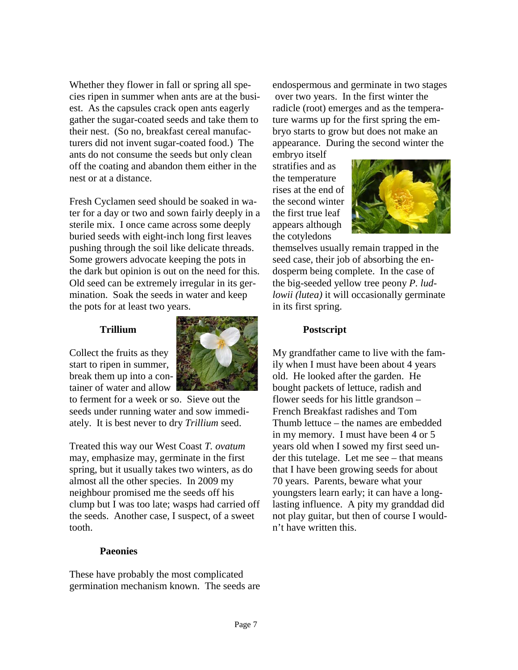Whether they flower in fall or spring all species ripen in summer when ants are at the busiest. As the capsules crack open ants eagerly gather the sugar-coated seeds and take them to their nest. (So no, breakfast cereal manufacturers did not invent sugar-coated food.) The ants do not consume the seeds but only clean off the coating and abandon them either in the nest or at a distance.

Fresh Cyclamen seed should be soaked in water for a day or two and sown fairly deeply in a sterile mix. I once came across some deeply buried seeds with eight-inch long first leaves pushing through the soil like delicate threads. Some growers advocate keeping the pots in the dark but opinion is out on the need for this. Old seed can be extremely irregular in its germination. Soak the seeds in water and keep the pots for at least two years.

#### **Trillium**

Collect the fruits as they start to ripen in summer, break them up into a container of water and allow



to ferment for a week or so. Sieve out the seeds under running water and sow immediately. It is best never to dry *Trillium* seed.

Treated this way our West Coast *T. ovatum*  may, emphasize may, germinate in the first spring, but it usually takes two winters, as do almost all the other species. In 2009 my neighbour promised me the seeds off his clump but I was too late; wasps had carried off the seeds. Another case, I suspect, of a sweet tooth.

#### **Paeonies**

These have probably the most complicated germination mechanism known. The seeds are endospermous and germinate in two stages over two years. In the first winter the radicle (root) emerges and as the temperature warms up for the first spring the embryo starts to grow but does not make an appearance. During the second winter the

embryo itself stratifies and as the temperature rises at the end of the second winter the first true leaf appears although the cotyledons



themselves usually remain trapped in the seed case, their job of absorbing the endosperm being complete. In the case of the big-seeded yellow tree peony *P. ludlowii (lutea)* it will occasionally germinate in its first spring.

#### **Postscript**

My grandfather came to live with the family when I must have been about 4 years old. He looked after the garden. He bought packets of lettuce, radish and flower seeds for his little grandson – French Breakfast radishes and Tom Thumb lettuce – the names are embedded in my memory. I must have been 4 or 5 years old when I sowed my first seed under this tutelage. Let me see – that means that I have been growing seeds for about 70 years. Parents, beware what your youngsters learn early; it can have a longlasting influence. A pity my granddad did not play guitar, but then of course I wouldn't have written this.